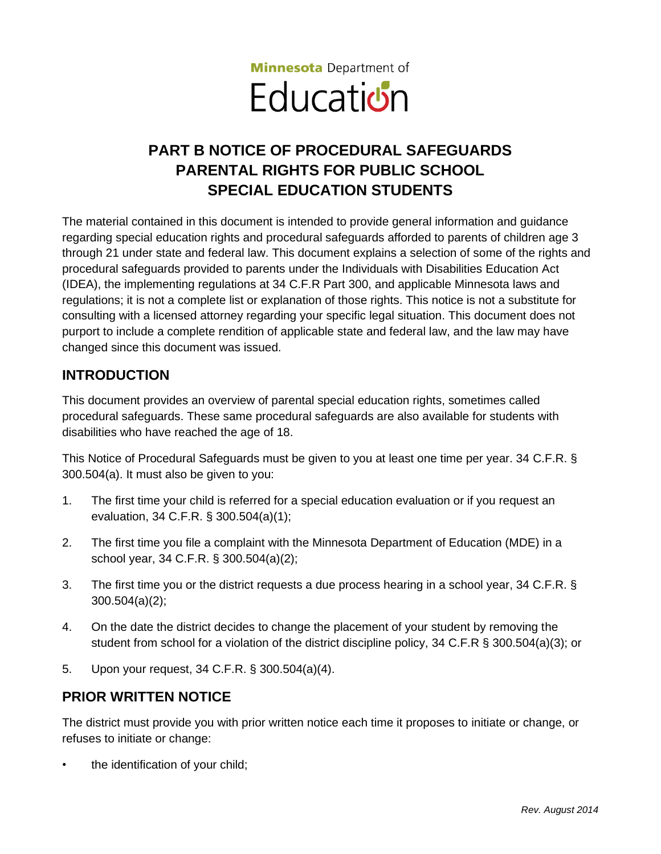

# **PART B NOTICE OF PROCEDURAL SAFEGUARDS PARENTAL RIGHTS FOR PUBLIC SCHOOL SPECIAL EDUCATION STUDENTS**

The material contained in this document is intended to provide general information and guidance regarding special education rights and procedural safeguards afforded to parents of children age 3 through 21 under state and federal law. This document explains a selection of some of the rights and procedural safeguards provided to parents under the Individuals with Disabilities Education Act (IDEA), the implementing regulations at 34 C.F.R Part 300, and applicable Minnesota laws and regulations; it is not a complete list or explanation of those rights. This notice is not a substitute for consulting with a licensed attorney regarding your specific legal situation. This document does not purport to include a complete rendition of applicable state and federal law, and the law may have changed since this document was issued.

### **INTRODUCTION**

This document provides an overview of parental special education rights, sometimes called procedural safeguards. These same procedural safeguards are also available for students with disabilities who have reached the age of 18.

This Notice of Procedural Safeguards must be given to you at least one time per year. 34 C.F.R. § 300.504(a). It must also be given to you:

- 1. The first time your child is referred for a special education evaluation or if you request an evaluation, 34 C.F.R. § 300.504(a)(1);
- 2. The first time you file a complaint with the Minnesota Department of Education (MDE) in a school year, 34 C.F.R. § 300.504(a)(2);
- 3. The first time you or the district requests a due process hearing in a school year, 34 C.F.R. § 300.504(a)(2);
- 4. On the date the district decides to change the placement of your student by removing the student from school for a violation of the district discipline policy, 34 C.F.R § 300.504(a)(3); or
- 5. Upon your request, 34 C.F.R. § 300.504(a)(4).

### **PRIOR WRITTEN NOTICE**

The district must provide you with prior written notice each time it proposes to initiate or change, or refuses to initiate or change:

the identification of your child;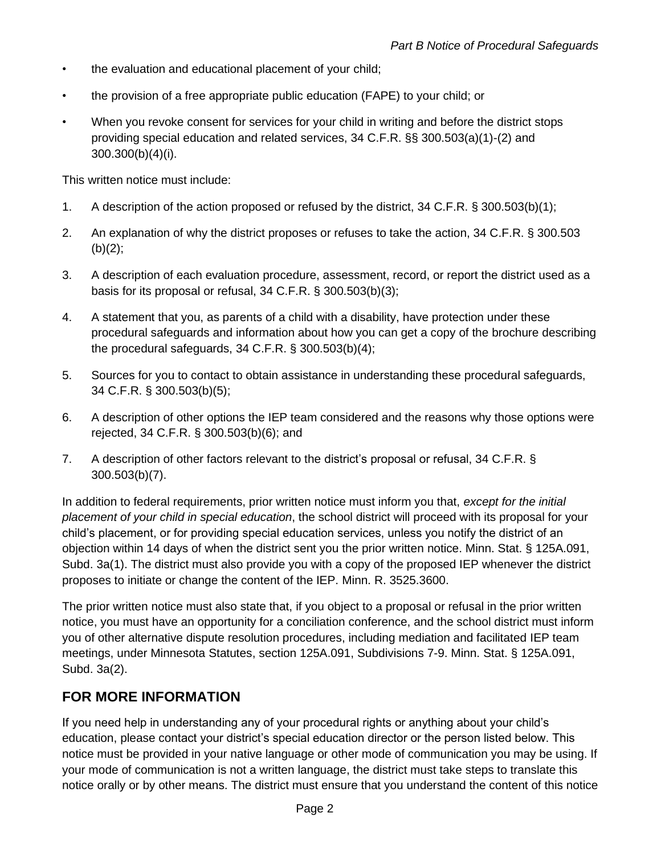- the evaluation and educational placement of your child;
- the provision of a free appropriate public education (FAPE) to your child; or
- When you revoke consent for services for your child in writing and before the district stops providing special education and related services, 34 C.F.R. §§ 300.503(a)(1)-(2) and 300.300(b)(4)(i).

This written notice must include:

- 1. A description of the action proposed or refused by the district, 34 C.F.R. § 300.503(b)(1);
- 2. An explanation of why the district proposes or refuses to take the action, 34 C.F.R. § 300.503  $(b)(2);$
- 3. A description of each evaluation procedure, assessment, record, or report the district used as a basis for its proposal or refusal, 34 C.F.R. § 300.503(b)(3);
- 4. A statement that you, as parents of a child with a disability, have protection under these procedural safeguards and information about how you can get a copy of the brochure describing the procedural safeguards, 34 C.F.R. § 300.503(b)(4);
- 5. Sources for you to contact to obtain assistance in understanding these procedural safeguards, 34 C.F.R. § 300.503(b)(5);
- 6. A description of other options the IEP team considered and the reasons why those options were rejected, 34 C.F.R. § 300.503(b)(6); and
- 7. A description of other factors relevant to the district's proposal or refusal, 34 C.F.R. § 300.503(b)(7).

In addition to federal requirements, prior written notice must inform you that, *except for the initial placement of your child in special education*, the school district will proceed with its proposal for your child's placement, or for providing special education services, unless you notify the district of an objection within 14 days of when the district sent you the prior written notice. Minn. Stat. § 125A.091, Subd. 3a(1). The district must also provide you with a copy of the proposed IEP whenever the district proposes to initiate or change the content of the IEP. Minn. R. 3525.3600.

The prior written notice must also state that, if you object to a proposal or refusal in the prior written notice, you must have an opportunity for a conciliation conference, and the school district must inform you of other alternative dispute resolution procedures, including mediation and facilitated IEP team meetings, under Minnesota Statutes, section 125A.091, Subdivisions 7-9. Minn. Stat. § 125A.091, Subd. 3a(2).

### **FOR MORE INFORMATION**

If you need help in understanding any of your procedural rights or anything about your child's education, please contact your district's special education director or the person listed below. This notice must be provided in your native language or other mode of communication you may be using. If your mode of communication is not a written language, the district must take steps to translate this notice orally or by other means. The district must ensure that you understand the content of this notice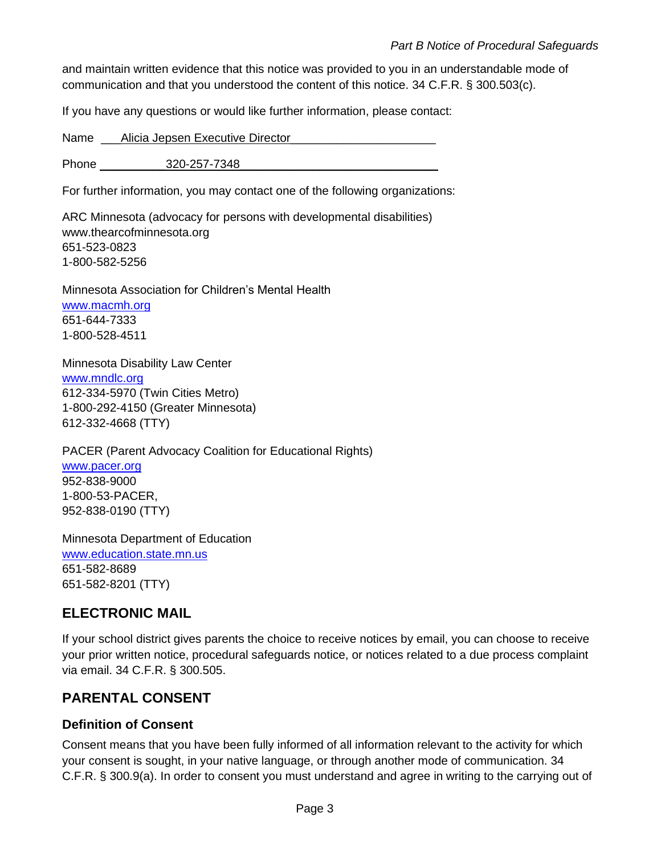and maintain written evidence that this notice was provided to you in an understandable mode of communication and that you understood the content of this notice. 34 C.F.R. § 300.503(c).

If you have any questions or would like further information, please contact:

Name \_\_\_Alicia Jepsen Executive Director\_\_\_\_\_\_\_\_\_\_\_\_\_\_\_\_\_\_\_\_\_\_

Phone 220-257-7348

For further information, you may contact one of the following organizations:

ARC Minnesota (advocacy for persons with developmental disabilities) www.thearcofminnesota.org 651-523-0823 1-800-582-5256

Minnesota Association for Children's Mental Health [www.macmh.org](http://www.macmh.org/) 651-644-7333 1-800-528-4511

Minnesota Disability Law Center [www.mndlc.org](http://www.mndlc.org/) 612-334-5970 (Twin Cities Metro) 1-800-292-4150 (Greater Minnesota) 612-332-4668 (TTY)

PACER (Parent Advocacy Coalition for Educational Rights) [www.pacer.org](http://www.pacer.org/) 952-838-9000 1-800-53-PACER, 952-838-0190 (TTY)

Minnesota Department of Education [www.education.state.mn.us](http://www.education.state.mn.us/) 651-582-8689 651-582-8201 (TTY)

## **ELECTRONIC MAIL**

If your school district gives parents the choice to receive notices by email, you can choose to receive your prior written notice, procedural safeguards notice, or notices related to a due process complaint via email. 34 C.F.R. § 300.505.

### **PARENTAL CONSENT**

#### **Definition of Consent**

Consent means that you have been fully informed of all information relevant to the activity for which your consent is sought, in your native language, or through another mode of communication. 34 C.F.R. § 300.9(a). In order to consent you must understand and agree in writing to the carrying out of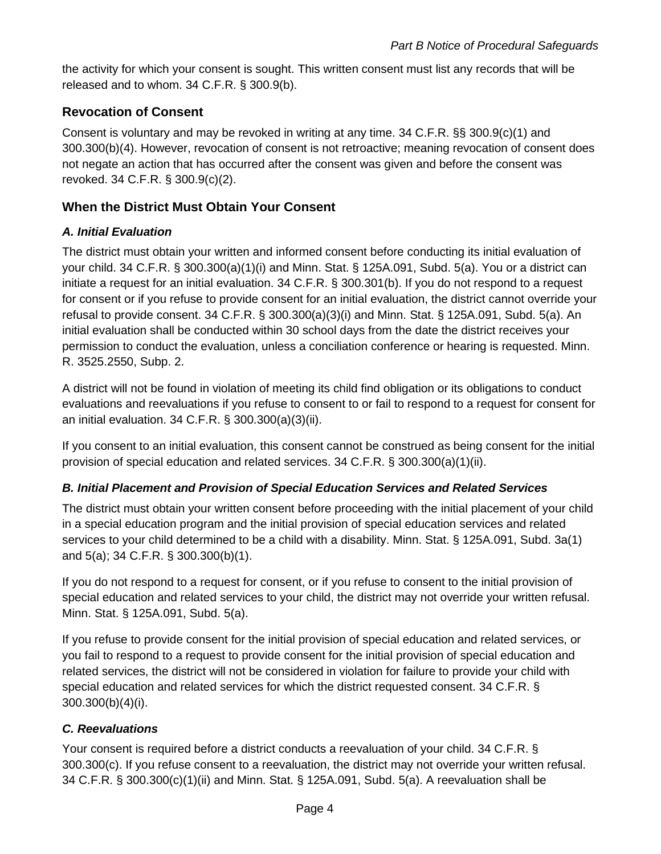the activity for which your consent is sought. This written consent must list any records that will be released and to whom. 34 C.F.R. § 300.9(b).

#### **Revocation of Consent**

Consent is voluntary and may be revoked in writing at any time. 34 C.F.R. §§ 300.9(c)(1) and 300.300(b)(4). However, revocation of consent is not retroactive; meaning revocation of consent does not negate an action that has occurred after the consent was given and before the consent was revoked. 34 C.F.R. § 300.9(c)(2).

#### **When the District Must Obtain Your Consent**

#### *A. Initial Evaluation*

The district must obtain your written and informed consent before conducting its initial evaluation of your child. 34 C.F.R. § 300.300(a)(1)(i) and Minn. Stat. § 125A.091, Subd. 5(a). You or a district can initiate a request for an initial evaluation. 34 C.F.R. § 300.301(b). If you do not respond to a request for consent or if you refuse to provide consent for an initial evaluation, the district cannot override your refusal to provide consent. 34 C.F.R. § 300.300(a)(3)(i) and Minn. Stat. § 125A.091, Subd. 5(a). An initial evaluation shall be conducted within 30 school days from the date the district receives your permission to conduct the evaluation, unless a conciliation conference or hearing is requested. Minn. R. 3525.2550, Subp. 2.

A district will not be found in violation of meeting its child find obligation or its obligations to conduct evaluations and reevaluations if you refuse to consent to or fail to respond to a request for consent for an initial evaluation. 34 C.F.R. § 300.300(a)(3)(ii).

If you consent to an initial evaluation, this consent cannot be construed as being consent for the initial provision of special education and related services. 34 C.F.R. § 300.300(a)(1)(ii).

#### *B. Initial Placement and Provision of Special Education Services and Related Services*

The district must obtain your written consent before proceeding with the initial placement of your child in a special education program and the initial provision of special education services and related services to your child determined to be a child with a disability. Minn. Stat. § 125A.091, Subd. 3a(1) and 5(a); 34 C.F.R. § 300.300(b)(1).

If you do not respond to a request for consent, or if you refuse to consent to the initial provision of special education and related services to your child, the district may not override your written refusal. Minn. Stat. § 125A.091, Subd. 5(a).

If you refuse to provide consent for the initial provision of special education and related services, or you fail to respond to a request to provide consent for the initial provision of special education and related services, the district will not be considered in violation for failure to provide your child with special education and related services for which the district requested consent. 34 C.F.R. § 300.300(b)(4)(i).

#### *C. Reevaluations*

Your consent is required before a district conducts a reevaluation of your child. 34 C.F.R. § 300.300(c). If you refuse consent to a reevaluation, the district may not override your written refusal. 34 C.F.R. § 300.300(c)(1)(ii) and Minn. Stat. § 125A.091, Subd. 5(a). A reevaluation shall be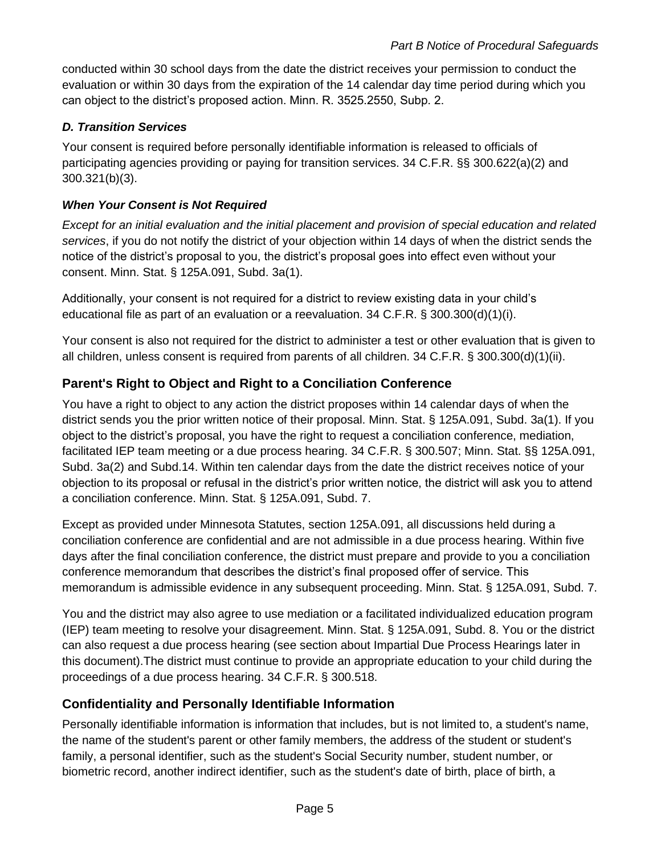conducted within 30 school days from the date the district receives your permission to conduct the evaluation or within 30 days from the expiration of the 14 calendar day time period during which you can object to the district's proposed action. Minn. R. 3525.2550, Subp. 2.

### *D. Transition Services*

Your consent is required before personally identifiable information is released to officials of participating agencies providing or paying for transition services. 34 C.F.R. §§ 300.622(a)(2) and 300.321(b)(3).

#### *When Your Consent is Not Required*

*Except for an initial evaluation and the initial placement and provision of special education and related services*, if you do not notify the district of your objection within 14 days of when the district sends the notice of the district's proposal to you, the district's proposal goes into effect even without your consent. Minn. Stat. § 125A.091, Subd. 3a(1).

Additionally, your consent is not required for a district to review existing data in your child's educational file as part of an evaluation or a reevaluation. 34 C.F.R. § 300.300(d)(1)(i).

Your consent is also not required for the district to administer a test or other evaluation that is given to all children, unless consent is required from parents of all children. 34 C.F.R. § 300.300(d)(1)(ii).

### **Parent's Right to Object and Right to a Conciliation Conference**

You have a right to object to any action the district proposes within 14 calendar days of when the district sends you the prior written notice of their proposal. Minn. Stat. § 125A.091, Subd. 3a(1). If you object to the district's proposal, you have the right to request a conciliation conference, mediation, facilitated IEP team meeting or a due process hearing. 34 C.F.R. § 300.507; Minn. Stat. §§ 125A.091, Subd. 3a(2) and Subd.14. Within ten calendar days from the date the district receives notice of your objection to its proposal or refusal in the district's prior written notice, the district will ask you to attend a conciliation conference. Minn. Stat. § 125A.091, Subd. 7.

Except as provided under Minnesota Statutes, section 125A.091, all discussions held during a conciliation conference are confidential and are not admissible in a due process hearing. Within five days after the final conciliation conference, the district must prepare and provide to you a conciliation conference memorandum that describes the district's final proposed offer of service. This memorandum is admissible evidence in any subsequent proceeding. Minn. Stat. § 125A.091, Subd. 7.

You and the district may also agree to use mediation or a facilitated individualized education program (IEP) team meeting to resolve your disagreement. Minn. Stat. § 125A.091, Subd. 8. You or the district can also request a due process hearing (see section about Impartial Due Process Hearings later in this document).The district must continue to provide an appropriate education to your child during the proceedings of a due process hearing. 34 C.F.R. § 300.518.

### **Confidentiality and Personally Identifiable Information**

Personally identifiable information is information that includes, but is not limited to, a student's name, the name of the student's parent or other family members, the address of the student or student's family, a personal identifier, such as the student's Social Security number, student number, or biometric record, another indirect identifier, such as the student's date of birth, place of birth, a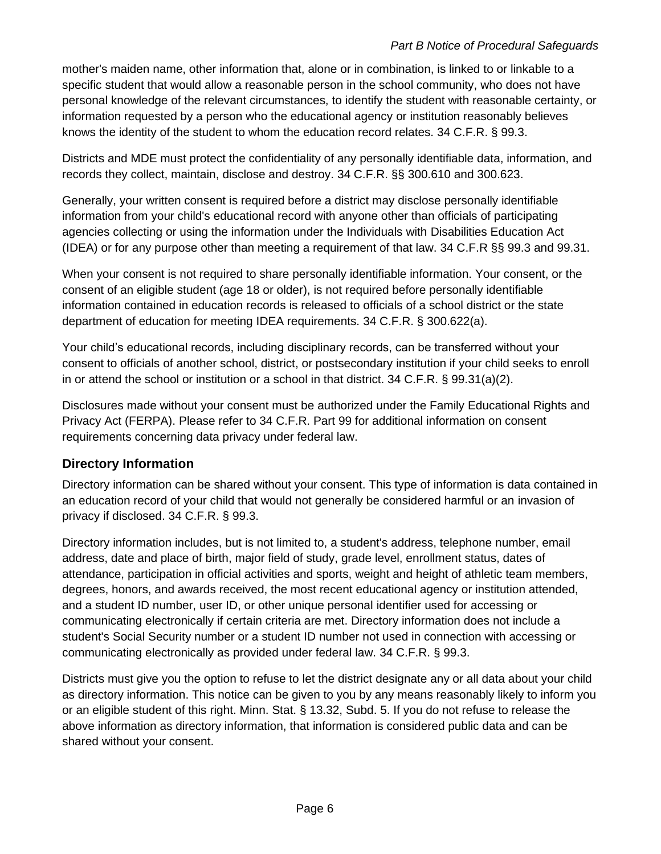#### *Part B Notice of Procedural Safeguards*

mother's maiden name, other information that, alone or in combination, is linked to or linkable to a specific student that would allow a reasonable person in the school community, who does not have personal knowledge of the relevant circumstances, to identify the student with reasonable certainty, or information requested by a person who the educational agency or institution reasonably believes knows the identity of the student to whom the education record relates. 34 C.F.R. § 99.3.

Districts and MDE must protect the confidentiality of any personally identifiable data, information, and records they collect, maintain, disclose and destroy. 34 C.F.R. §§ 300.610 and 300.623.

Generally, your written consent is required before a district may disclose personally identifiable information from your child's educational record with anyone other than officials of participating agencies collecting or using the information under the Individuals with Disabilities Education Act (IDEA) or for any purpose other than meeting a requirement of that law. 34 C.F.R §§ 99.3 and 99.31.

When your consent is not required to share personally identifiable information. Your consent, or the consent of an eligible student (age 18 or older), is not required before personally identifiable information contained in education records is released to officials of a school district or the state department of education for meeting IDEA requirements. 34 C.F.R. § 300.622(a).

Your child's educational records, including disciplinary records, can be transferred without your consent to officials of another school, district, or postsecondary institution if your child seeks to enroll in or attend the school or institution or a school in that district. 34 C.F.R. § 99.31(a)(2).

Disclosures made without your consent must be authorized under the Family Educational Rights and Privacy Act (FERPA). Please refer to 34 C.F.R. Part 99 for additional information on consent requirements concerning data privacy under federal law.

### **Directory Information**

Directory information can be shared without your consent. This type of information is data contained in an education record of your child that would not generally be considered harmful or an invasion of privacy if disclosed. 34 C.F.R. § 99.3.

Directory information includes, but is not limited to, a student's address, telephone number, email address, date and place of birth, major field of study, grade level, enrollment status, dates of attendance, participation in official activities and sports, weight and height of athletic team members, degrees, honors, and awards received, the most recent educational agency or institution attended, and a student ID number, user ID, or other unique personal identifier used for accessing or communicating electronically if certain criteria are met. Directory information does not include a student's Social Security number or a student ID number not used in connection with accessing or communicating electronically as provided under federal law. 34 C.F.R. § 99.3.

Districts must give you the option to refuse to let the district designate any or all data about your child as directory information. This notice can be given to you by any means reasonably likely to inform you or an eligible student of this right. Minn. Stat. § 13.32, Subd. 5. If you do not refuse to release the above information as directory information, that information is considered public data and can be shared without your consent.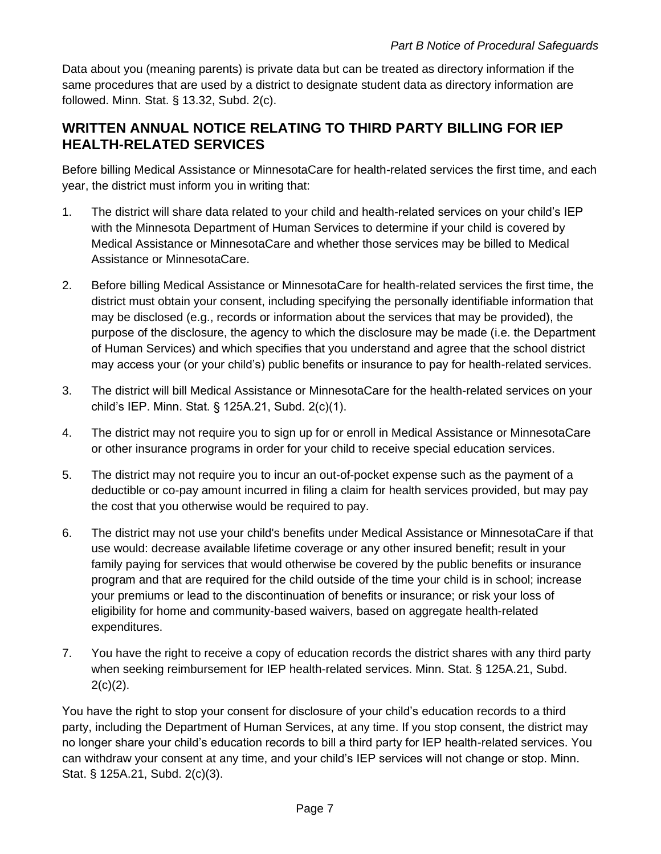Data about you (meaning parents) is private data but can be treated as directory information if the same procedures that are used by a district to designate student data as directory information are followed. Minn. Stat. § 13.32, Subd. 2(c).

## **WRITTEN ANNUAL NOTICE RELATING TO THIRD PARTY BILLING FOR IEP HEALTH-RELATED SERVICES**

Before billing Medical Assistance or MinnesotaCare for health-related services the first time, and each year, the district must inform you in writing that:

- 1. The district will share data related to your child and health-related services on your child's IEP with the Minnesota Department of Human Services to determine if your child is covered by Medical Assistance or MinnesotaCare and whether those services may be billed to Medical Assistance or MinnesotaCare.
- 2. Before billing Medical Assistance or MinnesotaCare for health-related services the first time, the district must obtain your consent, including specifying the personally identifiable information that may be disclosed (e.g., records or information about the services that may be provided), the purpose of the disclosure, the agency to which the disclosure may be made (i.e. the Department of Human Services) and which specifies that you understand and agree that the school district may access your (or your child's) public benefits or insurance to pay for health-related services.
- 3. The district will bill Medical Assistance or MinnesotaCare for the health-related services on your child's IEP. Minn. Stat. § 125A.21, Subd. 2(c)(1).
- 4. The district may not require you to sign up for or enroll in Medical Assistance or MinnesotaCare or other insurance programs in order for your child to receive special education services.
- 5. The district may not require you to incur an out-of-pocket expense such as the payment of a deductible or co-pay amount incurred in filing a claim for health services provided, but may pay the cost that you otherwise would be required to pay.
- 6. The district may not use your child's benefits under Medical Assistance or MinnesotaCare if that use would: decrease available lifetime coverage or any other insured benefit; result in your family paying for services that would otherwise be covered by the public benefits or insurance program and that are required for the child outside of the time your child is in school; increase your premiums or lead to the discontinuation of benefits or insurance; or risk your loss of eligibility for home and community-based waivers, based on aggregate health-related expenditures.
- 7. You have the right to receive a copy of education records the district shares with any third party when seeking reimbursement for IEP health-related services. Minn. Stat. § 125A.21, Subd.  $2(c)(2)$ .

You have the right to stop your consent for disclosure of your child's education records to a third party, including the Department of Human Services, at any time. If you stop consent, the district may no longer share your child's education records to bill a third party for IEP health-related services. You can withdraw your consent at any time, and your child's IEP services will not change or stop. Minn. Stat. § 125A.21, Subd. 2(c)(3).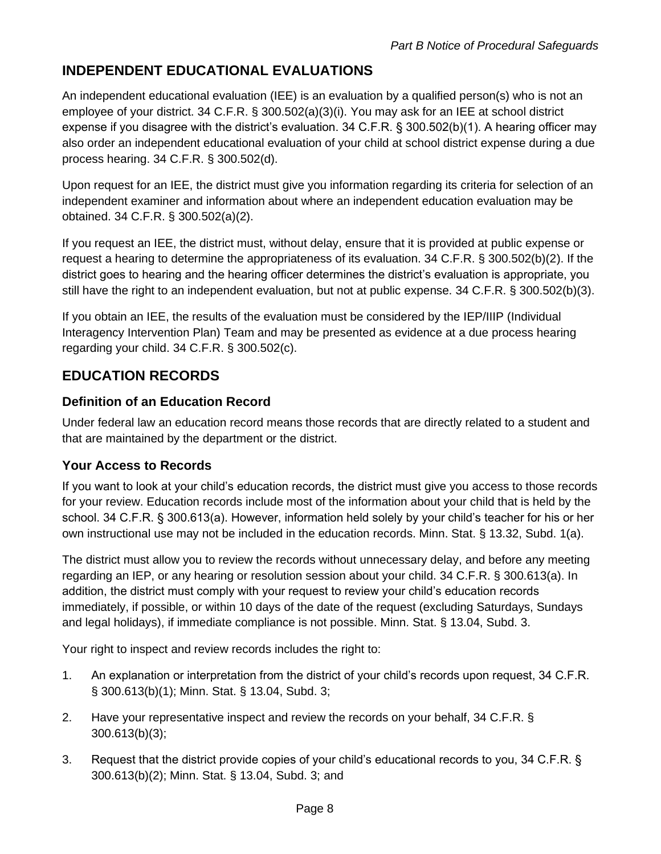## **INDEPENDENT EDUCATIONAL EVALUATIONS**

An independent educational evaluation (IEE) is an evaluation by a qualified person(s) who is not an employee of your district. 34 C.F.R. § 300.502(a)(3)(i). You may ask for an IEE at school district expense if you disagree with the district's evaluation. 34 C.F.R. § 300.502(b)(1). A hearing officer may also order an independent educational evaluation of your child at school district expense during a due process hearing. 34 C.F.R. § 300.502(d).

Upon request for an IEE, the district must give you information regarding its criteria for selection of an independent examiner and information about where an independent education evaluation may be obtained. 34 C.F.R. § 300.502(a)(2).

If you request an IEE, the district must, without delay, ensure that it is provided at public expense or request a hearing to determine the appropriateness of its evaluation. 34 C.F.R. § 300.502(b)(2). If the district goes to hearing and the hearing officer determines the district's evaluation is appropriate, you still have the right to an independent evaluation, but not at public expense. 34 C.F.R. § 300.502(b)(3).

If you obtain an IEE, the results of the evaluation must be considered by the IEP/IIIP (Individual Interagency Intervention Plan) Team and may be presented as evidence at a due process hearing regarding your child. 34 C.F.R. § 300.502(c).

# **EDUCATION RECORDS**

### **Definition of an Education Record**

Under federal law an education record means those records that are directly related to a student and that are maintained by the department or the district.

## **Your Access to Records**

If you want to look at your child's education records, the district must give you access to those records for your review. Education records include most of the information about your child that is held by the school. 34 C.F.R. § 300.613(a). However, information held solely by your child's teacher for his or her own instructional use may not be included in the education records. Minn. Stat. § 13.32, Subd. 1(a).

The district must allow you to review the records without unnecessary delay, and before any meeting regarding an IEP, or any hearing or resolution session about your child. 34 C.F.R. § 300.613(a). In addition, the district must comply with your request to review your child's education records immediately, if possible, or within 10 days of the date of the request (excluding Saturdays, Sundays and legal holidays), if immediate compliance is not possible. Minn. Stat. § 13.04, Subd. 3.

Your right to inspect and review records includes the right to:

- 1. An explanation or interpretation from the district of your child's records upon request, 34 C.F.R. § 300.613(b)(1); Minn. Stat. § 13.04, Subd. 3;
- 2. Have your representative inspect and review the records on your behalf, 34 C.F.R. § 300.613(b)(3);
- 3. Request that the district provide copies of your child's educational records to you, 34 C.F.R. § 300.613(b)(2); Minn. Stat. § 13.04, Subd. 3; and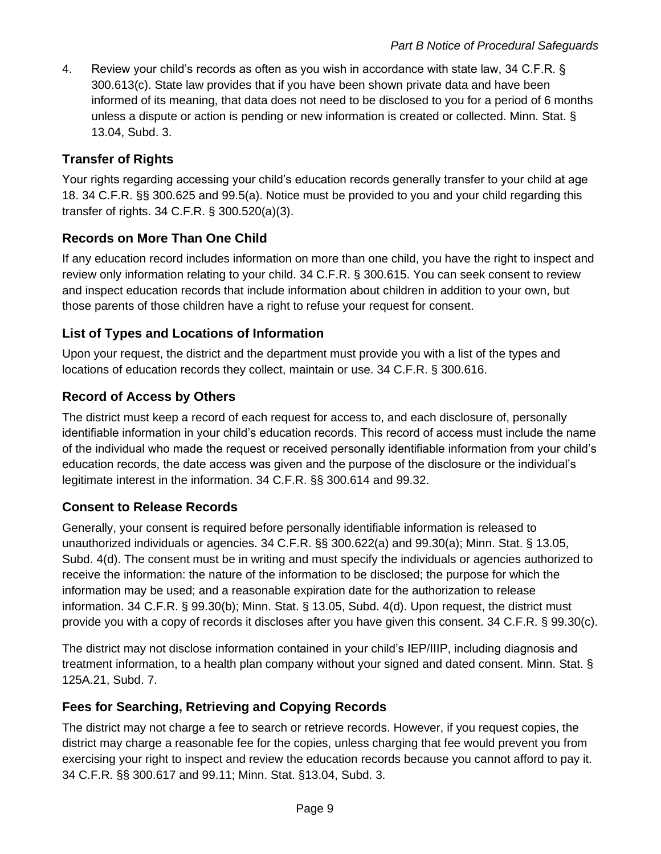4. Review your child's records as often as you wish in accordance with state law, 34 C.F.R. § 300.613(c). State law provides that if you have been shown private data and have been informed of its meaning, that data does not need to be disclosed to you for a period of 6 months unless a dispute or action is pending or new information is created or collected. Minn. Stat. § 13.04, Subd. 3.

### **Transfer of Rights**

Your rights regarding accessing your child's education records generally transfer to your child at age 18. 34 C.F.R. §§ 300.625 and 99.5(a). Notice must be provided to you and your child regarding this transfer of rights. 34 C.F.R. § 300.520(a)(3).

### **Records on More Than One Child**

If any education record includes information on more than one child, you have the right to inspect and review only information relating to your child. 34 C.F.R. § 300.615. You can seek consent to review and inspect education records that include information about children in addition to your own, but those parents of those children have a right to refuse your request for consent.

### **List of Types and Locations of Information**

Upon your request, the district and the department must provide you with a list of the types and locations of education records they collect, maintain or use. 34 C.F.R. § 300.616.

### **Record of Access by Others**

The district must keep a record of each request for access to, and each disclosure of, personally identifiable information in your child's education records. This record of access must include the name of the individual who made the request or received personally identifiable information from your child's education records, the date access was given and the purpose of the disclosure or the individual's legitimate interest in the information. 34 C.F.R. §§ 300.614 and 99.32.

### **Consent to Release Records**

Generally, your consent is required before personally identifiable information is released to unauthorized individuals or agencies. 34 C.F.R. §§ 300.622(a) and 99.30(a); Minn. Stat. § 13.05, Subd. 4(d). The consent must be in writing and must specify the individuals or agencies authorized to receive the information: the nature of the information to be disclosed; the purpose for which the information may be used; and a reasonable expiration date for the authorization to release information. 34 C.F.R. § 99.30(b); Minn. Stat. § 13.05, Subd. 4(d). Upon request, the district must provide you with a copy of records it discloses after you have given this consent. 34 C.F.R. § 99.30(c).

The district may not disclose information contained in your child's IEP/IIIP, including diagnosis and treatment information, to a health plan company without your signed and dated consent. Minn. Stat. § 125A.21, Subd. 7.

### **Fees for Searching, Retrieving and Copying Records**

The district may not charge a fee to search or retrieve records. However, if you request copies, the district may charge a reasonable fee for the copies, unless charging that fee would prevent you from exercising your right to inspect and review the education records because you cannot afford to pay it. 34 C.F.R. §§ 300.617 and 99.11; Minn. Stat. §13.04, Subd. 3.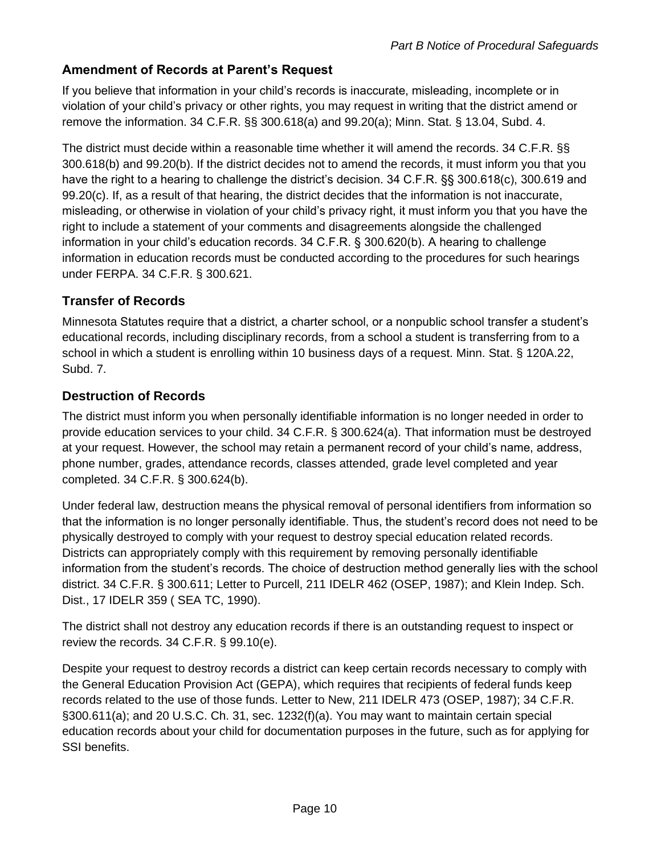### **Amendment of Records at Parent's Request**

If you believe that information in your child's records is inaccurate, misleading, incomplete or in violation of your child's privacy or other rights, you may request in writing that the district amend or remove the information. 34 C.F.R. §§ 300.618(a) and 99.20(a); Minn. Stat. § 13.04, Subd. 4.

The district must decide within a reasonable time whether it will amend the records. 34 C.F.R. §§ 300.618(b) and 99.20(b). If the district decides not to amend the records, it must inform you that you have the right to a hearing to challenge the district's decision. 34 C.F.R. §§ 300.618(c), 300.619 and 99.20(c). If, as a result of that hearing, the district decides that the information is not inaccurate, misleading, or otherwise in violation of your child's privacy right, it must inform you that you have the right to include a statement of your comments and disagreements alongside the challenged information in your child's education records. 34 C.F.R. § 300.620(b). A hearing to challenge information in education records must be conducted according to the procedures for such hearings under FERPA. 34 C.F.R. § 300.621.

#### **Transfer of Records**

Minnesota Statutes require that a district, a charter school, or a nonpublic school transfer a student's educational records, including disciplinary records, from a school a student is transferring from to a school in which a student is enrolling within 10 business days of a request. Minn. Stat. § 120A.22, Subd. 7.

#### **Destruction of Records**

The district must inform you when personally identifiable information is no longer needed in order to provide education services to your child. 34 C.F.R. § 300.624(a). That information must be destroyed at your request. However, the school may retain a permanent record of your child's name, address, phone number, grades, attendance records, classes attended, grade level completed and year completed. 34 C.F.R. § 300.624(b).

Under federal law, destruction means the physical removal of personal identifiers from information so that the information is no longer personally identifiable. Thus, the student's record does not need to be physically destroyed to comply with your request to destroy special education related records. Districts can appropriately comply with this requirement by removing personally identifiable information from the student's records. The choice of destruction method generally lies with the school district. 34 C.F.R. § 300.611; Letter to Purcell, 211 IDELR 462 (OSEP, 1987); and Klein Indep. Sch. Dist., 17 IDELR 359 ( SEA TC, 1990).

The district shall not destroy any education records if there is an outstanding request to inspect or review the records. 34 C.F.R. § 99.10(e).

Despite your request to destroy records a district can keep certain records necessary to comply with the General Education Provision Act (GEPA), which requires that recipients of federal funds keep records related to the use of those funds. Letter to New, 211 IDELR 473 (OSEP, 1987); 34 C.F.R. §300.611(a); and 20 U.S.C. Ch. 31, sec. 1232(f)(a). You may want to maintain certain special education records about your child for documentation purposes in the future, such as for applying for SSI benefits.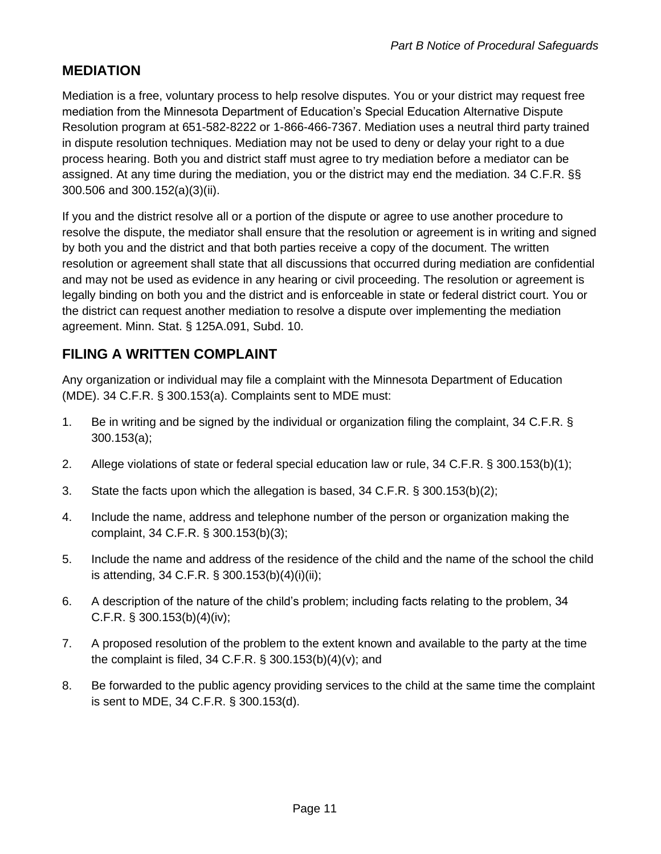## **MEDIATION**

Mediation is a free, voluntary process to help resolve disputes. You or your district may request free mediation from the Minnesota Department of Education's Special Education Alternative Dispute Resolution program at 651-582-8222 or 1-866-466-7367. Mediation uses a neutral third party trained in dispute resolution techniques. Mediation may not be used to deny or delay your right to a due process hearing. Both you and district staff must agree to try mediation before a mediator can be assigned. At any time during the mediation, you or the district may end the mediation. 34 C.F.R. §§ 300.506 and 300.152(a)(3)(ii).

If you and the district resolve all or a portion of the dispute or agree to use another procedure to resolve the dispute, the mediator shall ensure that the resolution or agreement is in writing and signed by both you and the district and that both parties receive a copy of the document. The written resolution or agreement shall state that all discussions that occurred during mediation are confidential and may not be used as evidence in any hearing or civil proceeding. The resolution or agreement is legally binding on both you and the district and is enforceable in state or federal district court. You or the district can request another mediation to resolve a dispute over implementing the mediation agreement. Minn. Stat. § 125A.091, Subd. 10.

## **FILING A WRITTEN COMPLAINT**

Any organization or individual may file a complaint with the Minnesota Department of Education (MDE). 34 C.F.R. § 300.153(a). Complaints sent to MDE must:

- 1. Be in writing and be signed by the individual or organization filing the complaint, 34 C.F.R. § 300.153(a);
- 2. Allege violations of state or federal special education law or rule, 34 C.F.R. § 300.153(b)(1);
- 3. State the facts upon which the allegation is based, 34 C.F.R. § 300.153(b)(2);
- 4. Include the name, address and telephone number of the person or organization making the complaint, 34 C.F.R. § 300.153(b)(3);
- 5. Include the name and address of the residence of the child and the name of the school the child is attending, 34 C.F.R. § 300.153(b)(4)(i)(ii);
- 6. A description of the nature of the child's problem; including facts relating to the problem, 34 C.F.R. § 300.153(b)(4)(iv);
- 7. A proposed resolution of the problem to the extent known and available to the party at the time the complaint is filed, 34 C.F.R. § 300.153(b)(4)(v); and
- 8. Be forwarded to the public agency providing services to the child at the same time the complaint is sent to MDE, 34 C.F.R. § 300.153(d).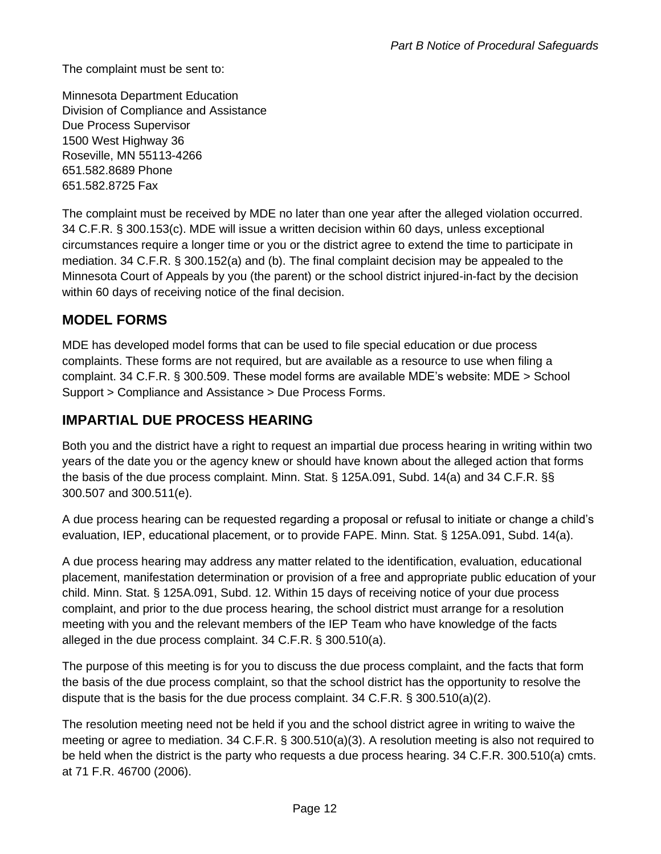The complaint must be sent to:

Minnesota Department Education Division of Compliance and Assistance Due Process Supervisor 1500 West Highway 36 Roseville, MN 55113-4266 651.582.8689 Phone 651.582.8725 Fax

The complaint must be received by MDE no later than one year after the alleged violation occurred. 34 C.F.R. § 300.153(c). MDE will issue a written decision within 60 days, unless exceptional circumstances require a longer time or you or the district agree to extend the time to participate in mediation. 34 C.F.R. § 300.152(a) and (b). The final complaint decision may be appealed to the Minnesota Court of Appeals by you (the parent) or the school district injured-in-fact by the decision within 60 days of receiving notice of the final decision.

## **MODEL FORMS**

MDE has developed model forms that can be used to file special education or due process complaints. These forms are not required, but are available as a resource to use when filing a complaint. 34 C.F.R. § 300.509. These model forms are available MDE's website: MDE > School Support > Compliance and Assistance > Due Process Forms.

## **IMPARTIAL DUE PROCESS HEARING**

Both you and the district have a right to request an impartial due process hearing in writing within two years of the date you or the agency knew or should have known about the alleged action that forms the basis of the due process complaint. Minn. Stat. § 125A.091, Subd. 14(a) and 34 C.F.R. §§ 300.507 and 300.511(e).

A due process hearing can be requested regarding a proposal or refusal to initiate or change a child's evaluation, IEP, educational placement, or to provide FAPE. Minn. Stat. § 125A.091, Subd. 14(a).

A due process hearing may address any matter related to the identification, evaluation, educational placement, manifestation determination or provision of a free and appropriate public education of your child. Minn. Stat. § 125A.091, Subd. 12. Within 15 days of receiving notice of your due process complaint, and prior to the due process hearing, the school district must arrange for a resolution meeting with you and the relevant members of the IEP Team who have knowledge of the facts alleged in the due process complaint. 34 C.F.R. § 300.510(a).

The purpose of this meeting is for you to discuss the due process complaint, and the facts that form the basis of the due process complaint, so that the school district has the opportunity to resolve the dispute that is the basis for the due process complaint. 34 C.F.R. § 300.510(a)(2).

The resolution meeting need not be held if you and the school district agree in writing to waive the meeting or agree to mediation. 34 C.F.R. § 300.510(a)(3). A resolution meeting is also not required to be held when the district is the party who requests a due process hearing. 34 C.F.R. 300.510(a) cmts. at 71 F.R. 46700 (2006).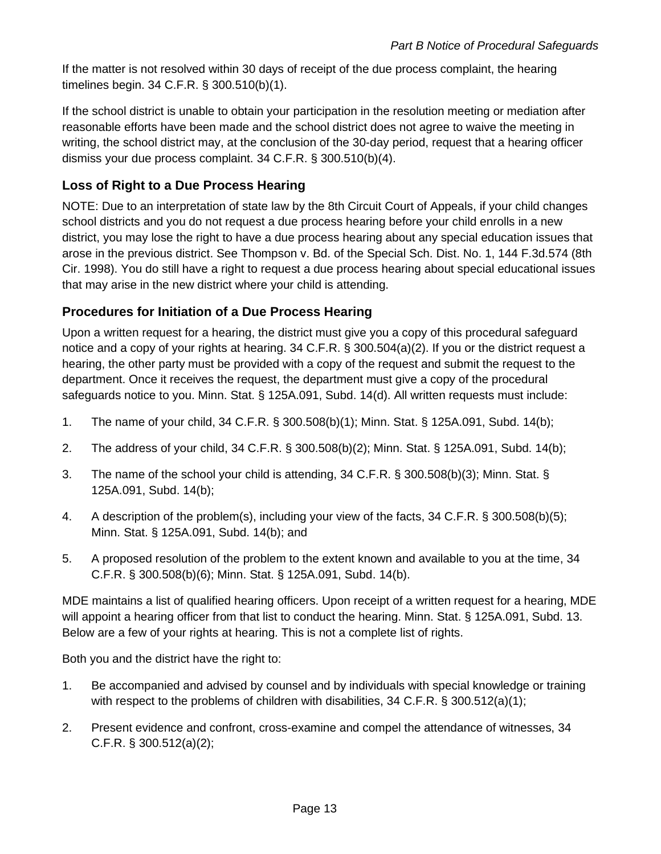If the matter is not resolved within 30 days of receipt of the due process complaint, the hearing timelines begin. 34 C.F.R. § 300.510(b)(1).

If the school district is unable to obtain your participation in the resolution meeting or mediation after reasonable efforts have been made and the school district does not agree to waive the meeting in writing, the school district may, at the conclusion of the 30-day period, request that a hearing officer dismiss your due process complaint. 34 C.F.R. § 300.510(b)(4).

### **Loss of Right to a Due Process Hearing**

NOTE: Due to an interpretation of state law by the 8th Circuit Court of Appeals, if your child changes school districts and you do not request a due process hearing before your child enrolls in a new district, you may lose the right to have a due process hearing about any special education issues that arose in the previous district. See Thompson v. Bd. of the Special Sch. Dist. No. 1, 144 F.3d.574 (8th Cir. 1998). You do still have a right to request a due process hearing about special educational issues that may arise in the new district where your child is attending.

### **Procedures for Initiation of a Due Process Hearing**

Upon a written request for a hearing, the district must give you a copy of this procedural safeguard notice and a copy of your rights at hearing. 34 C.F.R. § 300.504(a)(2). If you or the district request a hearing, the other party must be provided with a copy of the request and submit the request to the department. Once it receives the request, the department must give a copy of the procedural safeguards notice to you. Minn. Stat. § 125A.091, Subd. 14(d). All written requests must include:

- 1. The name of your child, 34 C.F.R. § 300.508(b)(1); Minn. Stat. § 125A.091, Subd. 14(b);
- 2. The address of your child, 34 C.F.R. § 300.508(b)(2); Minn. Stat. § 125A.091, Subd. 14(b);
- 3. The name of the school your child is attending, 34 C.F.R. § 300.508(b)(3); Minn. Stat. § 125A.091, Subd. 14(b);
- 4. A description of the problem(s), including your view of the facts, 34 C.F.R. § 300.508(b)(5); Minn. Stat. § 125A.091, Subd. 14(b); and
- 5. A proposed resolution of the problem to the extent known and available to you at the time, 34 C.F.R. § 300.508(b)(6); Minn. Stat. § 125A.091, Subd. 14(b).

MDE maintains a list of qualified hearing officers. Upon receipt of a written request for a hearing, MDE will appoint a hearing officer from that list to conduct the hearing. Minn. Stat. § 125A.091, Subd. 13. Below are a few of your rights at hearing. This is not a complete list of rights.

Both you and the district have the right to:

- 1. Be accompanied and advised by counsel and by individuals with special knowledge or training with respect to the problems of children with disabilities, 34 C.F.R. § 300.512(a)(1);
- 2. Present evidence and confront, cross-examine and compel the attendance of witnesses, 34 C.F.R. § 300.512(a)(2);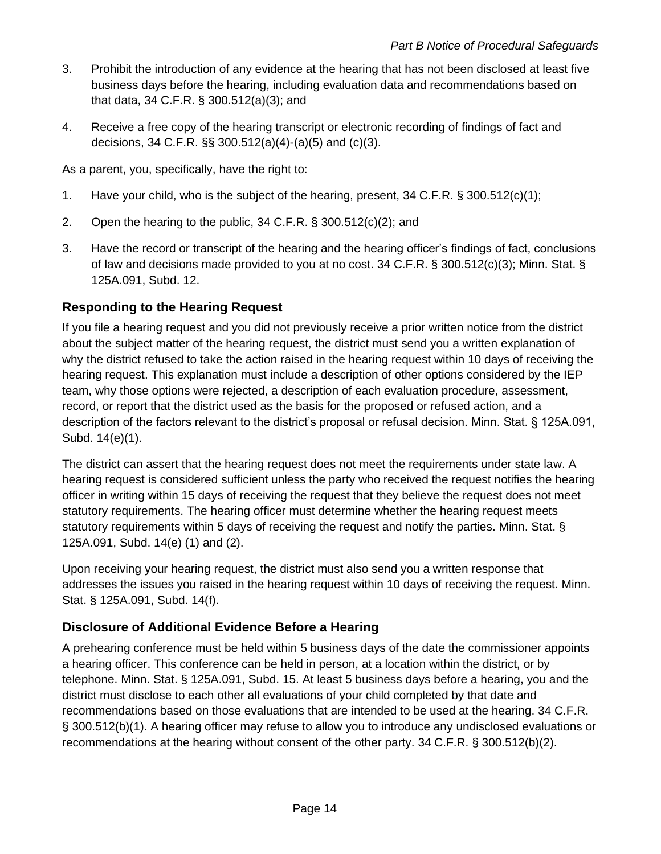- 3. Prohibit the introduction of any evidence at the hearing that has not been disclosed at least five business days before the hearing, including evaluation data and recommendations based on that data, 34 C.F.R. § 300.512(a)(3); and
- 4. Receive a free copy of the hearing transcript or electronic recording of findings of fact and decisions, 34 C.F.R. §§ 300.512(a)(4)-(a)(5) and (c)(3).

As a parent, you, specifically, have the right to:

- 1. Have your child, who is the subject of the hearing, present, 34 C.F.R. § 300.512(c)(1);
- 2. Open the hearing to the public, 34 C.F.R. § 300.512(c)(2); and
- 3. Have the record or transcript of the hearing and the hearing officer's findings of fact, conclusions of law and decisions made provided to you at no cost. 34 C.F.R. § 300.512(c)(3); Minn. Stat. § 125A.091, Subd. 12.

### **Responding to the Hearing Request**

If you file a hearing request and you did not previously receive a prior written notice from the district about the subject matter of the hearing request, the district must send you a written explanation of why the district refused to take the action raised in the hearing request within 10 days of receiving the hearing request. This explanation must include a description of other options considered by the IEP team, why those options were rejected, a description of each evaluation procedure, assessment, record, or report that the district used as the basis for the proposed or refused action, and a description of the factors relevant to the district's proposal or refusal decision. Minn. Stat. § 125A.091, Subd. 14(e)(1).

The district can assert that the hearing request does not meet the requirements under state law. A hearing request is considered sufficient unless the party who received the request notifies the hearing officer in writing within 15 days of receiving the request that they believe the request does not meet statutory requirements. The hearing officer must determine whether the hearing request meets statutory requirements within 5 days of receiving the request and notify the parties. Minn. Stat. § 125A.091, Subd. 14(e) (1) and (2).

Upon receiving your hearing request, the district must also send you a written response that addresses the issues you raised in the hearing request within 10 days of receiving the request. Minn. Stat. § 125A.091, Subd. 14(f).

### **Disclosure of Additional Evidence Before a Hearing**

A prehearing conference must be held within 5 business days of the date the commissioner appoints a hearing officer. This conference can be held in person, at a location within the district, or by telephone. Minn. Stat. § 125A.091, Subd. 15. At least 5 business days before a hearing, you and the district must disclose to each other all evaluations of your child completed by that date and recommendations based on those evaluations that are intended to be used at the hearing. 34 C.F.R. § 300.512(b)(1). A hearing officer may refuse to allow you to introduce any undisclosed evaluations or recommendations at the hearing without consent of the other party. 34 C.F.R. § 300.512(b)(2).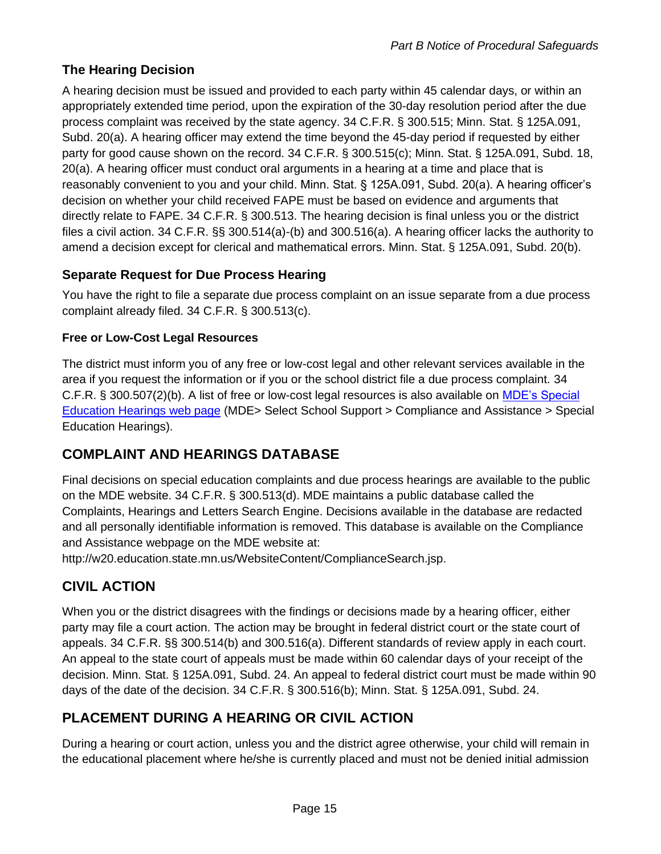### **The Hearing Decision**

A hearing decision must be issued and provided to each party within 45 calendar days, or within an appropriately extended time period, upon the expiration of the 30-day resolution period after the due process complaint was received by the state agency. 34 C.F.R. § 300.515; Minn. Stat. § 125A.091, Subd. 20(a). A hearing officer may extend the time beyond the 45-day period if requested by either party for good cause shown on the record. 34 C.F.R. § 300.515(c); Minn. Stat. § 125A.091, Subd. 18, 20(a). A hearing officer must conduct oral arguments in a hearing at a time and place that is reasonably convenient to you and your child. Minn. Stat. § 125A.091, Subd. 20(a). A hearing officer's decision on whether your child received FAPE must be based on evidence and arguments that directly relate to FAPE. 34 C.F.R. § 300.513. The hearing decision is final unless you or the district files a civil action. 34 C.F.R. §§ 300.514(a)-(b) and 300.516(a). A hearing officer lacks the authority to amend a decision except for clerical and mathematical errors. Minn. Stat. § 125A.091, Subd. 20(b).

### **Separate Request for Due Process Hearing**

You have the right to file a separate due process complaint on an issue separate from a due process complaint already filed. 34 C.F.R. § 300.513(c).

#### **Free or Low-Cost Legal Resources**

The district must inform you of any free or low-cost legal and other relevant services available in the area if you request the information or if you or the school district file a due process complaint. 34 C.F.R. § 300.507(2)(b). A list of free or low-cost legal resources is also available on [MDE's Special](http://education.state.mn.us/MDE/SchSup/ComplAssist/Hearing/index.html)  [Education Hearings web page](http://education.state.mn.us/MDE/SchSup/ComplAssist/Hearing/index.html) (MDE> Select School Support > Compliance and Assistance > Special Education Hearings).

## **COMPLAINT AND HEARINGS DATABASE**

Final decisions on special education complaints and due process hearings are available to the public on the MDE website. 34 C.F.R. § 300.513(d). MDE maintains a public database called the Complaints, Hearings and Letters Search Engine. Decisions available in the database are redacted and all personally identifiable information is removed. This database is available on the Compliance and Assistance webpage on the MDE website at:

http://w20.education.state.mn.us/WebsiteContent/ComplianceSearch.jsp.

## **CIVIL ACTION**

When you or the district disagrees with the findings or decisions made by a hearing officer, either party may file a court action. The action may be brought in federal district court or the state court of appeals. 34 C.F.R. §§ 300.514(b) and 300.516(a). Different standards of review apply in each court. An appeal to the state court of appeals must be made within 60 calendar days of your receipt of the decision. Minn. Stat. § 125A.091, Subd. 24. An appeal to federal district court must be made within 90 days of the date of the decision. 34 C.F.R. § 300.516(b); Minn. Stat. § 125A.091, Subd. 24.

## **PLACEMENT DURING A HEARING OR CIVIL ACTION**

During a hearing or court action, unless you and the district agree otherwise, your child will remain in the educational placement where he/she is currently placed and must not be denied initial admission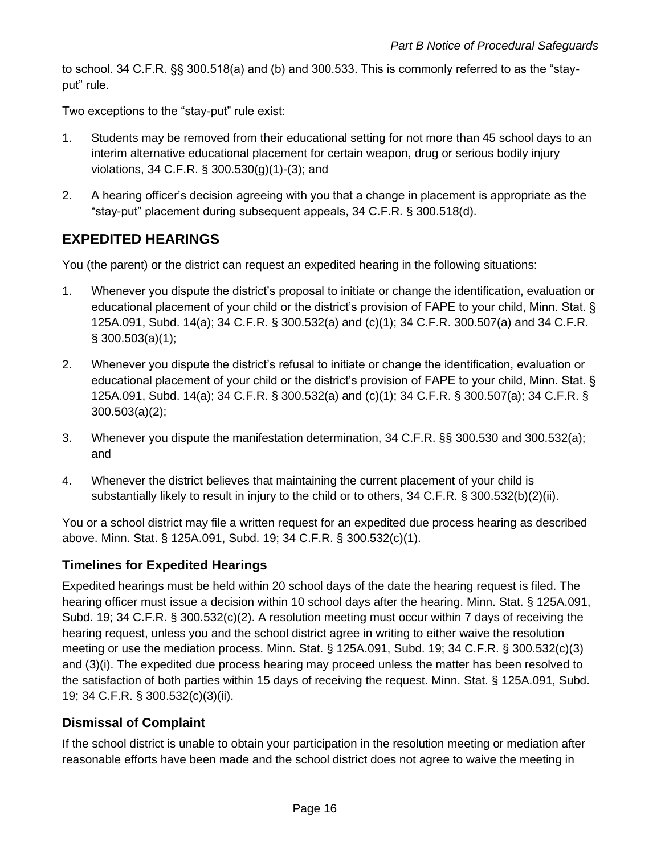to school. 34 C.F.R. §§ 300.518(a) and (b) and 300.533. This is commonly referred to as the "stayput" rule.

Two exceptions to the "stay-put" rule exist:

- 1. Students may be removed from their educational setting for not more than 45 school days to an interim alternative educational placement for certain weapon, drug or serious bodily injury violations, 34 C.F.R. § 300.530(g)(1)-(3); and
- 2. A hearing officer's decision agreeing with you that a change in placement is appropriate as the "stay-put" placement during subsequent appeals, 34 C.F.R. § 300.518(d).

## **EXPEDITED HEARINGS**

You (the parent) or the district can request an expedited hearing in the following situations:

- 1. Whenever you dispute the district's proposal to initiate or change the identification, evaluation or educational placement of your child or the district's provision of FAPE to your child, Minn. Stat. § 125A.091, Subd. 14(a); 34 C.F.R. § 300.532(a) and (c)(1); 34 C.F.R. 300.507(a) and 34 C.F.R. § 300.503(a)(1);
- 2. Whenever you dispute the district's refusal to initiate or change the identification, evaluation or educational placement of your child or the district's provision of FAPE to your child, Minn. Stat. § 125A.091, Subd. 14(a); 34 C.F.R. § 300.532(a) and (c)(1); 34 C.F.R. § 300.507(a); 34 C.F.R. § 300.503(a)(2);
- 3. Whenever you dispute the manifestation determination, 34 C.F.R. §§ 300.530 and 300.532(a); and
- 4. Whenever the district believes that maintaining the current placement of your child is substantially likely to result in injury to the child or to others, 34 C.F.R. § 300.532(b)(2)(ii).

You or a school district may file a written request for an expedited due process hearing as described above. Minn. Stat. § 125A.091, Subd. 19; 34 C.F.R. § 300.532(c)(1).

### **Timelines for Expedited Hearings**

Expedited hearings must be held within 20 school days of the date the hearing request is filed. The hearing officer must issue a decision within 10 school days after the hearing. Minn. Stat. § 125A.091, Subd. 19; 34 C.F.R. § 300.532(c)(2). A resolution meeting must occur within 7 days of receiving the hearing request, unless you and the school district agree in writing to either waive the resolution meeting or use the mediation process. Minn. Stat. § 125A.091, Subd. 19; 34 C.F.R. § 300.532(c)(3) and (3)(i). The expedited due process hearing may proceed unless the matter has been resolved to the satisfaction of both parties within 15 days of receiving the request. Minn. Stat. § 125A.091, Subd. 19; 34 C.F.R. § 300.532(c)(3)(ii).

#### **Dismissal of Complaint**

If the school district is unable to obtain your participation in the resolution meeting or mediation after reasonable efforts have been made and the school district does not agree to waive the meeting in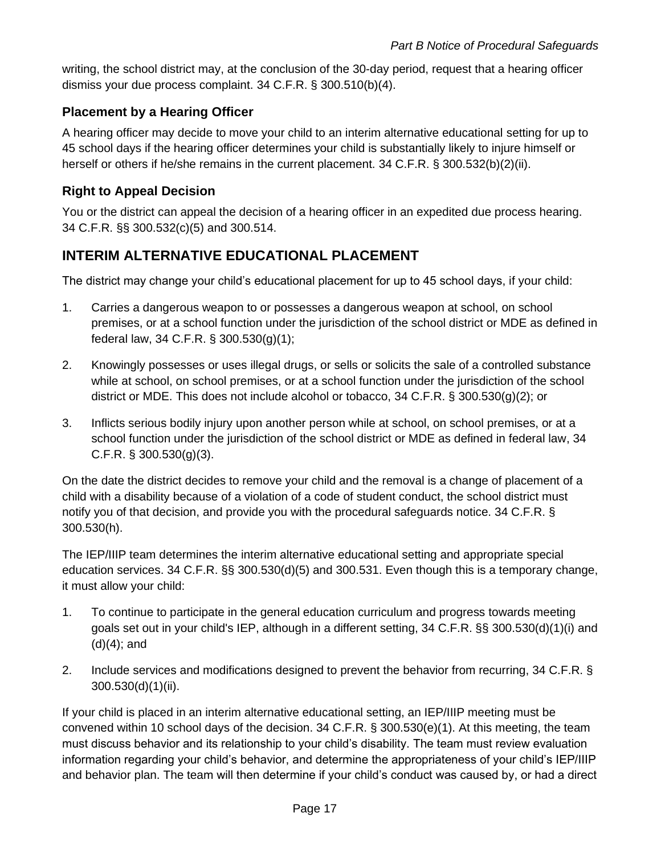writing, the school district may, at the conclusion of the 30-day period, request that a hearing officer dismiss your due process complaint. 34 C.F.R. § 300.510(b)(4).

### **Placement by a Hearing Officer**

A hearing officer may decide to move your child to an interim alternative educational setting for up to 45 school days if the hearing officer determines your child is substantially likely to injure himself or herself or others if he/she remains in the current placement. 34 C.F.R. § 300.532(b)(2)(ii).

#### **Right to Appeal Decision**

You or the district can appeal the decision of a hearing officer in an expedited due process hearing. 34 C.F.R. §§ 300.532(c)(5) and 300.514.

## **INTERIM ALTERNATIVE EDUCATIONAL PLACEMENT**

The district may change your child's educational placement for up to 45 school days, if your child:

- 1. Carries a dangerous weapon to or possesses a dangerous weapon at school, on school premises, or at a school function under the jurisdiction of the school district or MDE as defined in federal law, 34 C.F.R. § 300.530(g)(1);
- 2. Knowingly possesses or uses illegal drugs, or sells or solicits the sale of a controlled substance while at school, on school premises, or at a school function under the jurisdiction of the school district or MDE. This does not include alcohol or tobacco, 34 C.F.R. § 300.530(g)(2); or
- 3. Inflicts serious bodily injury upon another person while at school, on school premises, or at a school function under the jurisdiction of the school district or MDE as defined in federal law, 34 C.F.R. § 300.530(g)(3).

On the date the district decides to remove your child and the removal is a change of placement of a child with a disability because of a violation of a code of student conduct, the school district must notify you of that decision, and provide you with the procedural safeguards notice. 34 C.F.R. § 300.530(h).

The IEP/IIIP team determines the interim alternative educational setting and appropriate special education services. 34 C.F.R. §§ 300.530(d)(5) and 300.531. Even though this is a temporary change, it must allow your child:

- 1. To continue to participate in the general education curriculum and progress towards meeting goals set out in your child's IEP, although in a different setting, 34 C.F.R. §§ 300.530(d)(1)(i) and  $(d)(4)$ ; and
- 2. Include services and modifications designed to prevent the behavior from recurring, 34 C.F.R. § 300.530(d)(1)(ii).

If your child is placed in an interim alternative educational setting, an IEP/IIIP meeting must be convened within 10 school days of the decision. 34 C.F.R. § 300.530(e)(1). At this meeting, the team must discuss behavior and its relationship to your child's disability. The team must review evaluation information regarding your child's behavior, and determine the appropriateness of your child's IEP/IIIP and behavior plan. The team will then determine if your child's conduct was caused by, or had a direct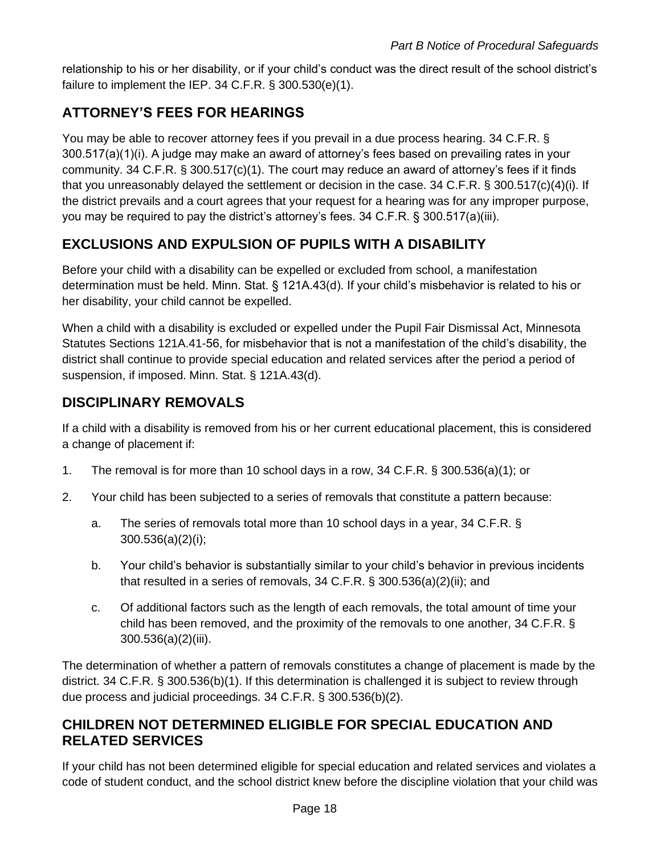relationship to his or her disability, or if your child's conduct was the direct result of the school district's failure to implement the IEP. 34 C.F.R. § 300.530(e)(1).

# **ATTORNEY'S FEES FOR HEARINGS**

You may be able to recover attorney fees if you prevail in a due process hearing. 34 C.F.R. § 300.517(a)(1)(i). A judge may make an award of attorney's fees based on prevailing rates in your community. 34 C.F.R. § 300.517(c)(1). The court may reduce an award of attorney's fees if it finds that you unreasonably delayed the settlement or decision in the case. 34 C.F.R. § 300.517(c)(4)(i). If the district prevails and a court agrees that your request for a hearing was for any improper purpose, you may be required to pay the district's attorney's fees. 34 C.F.R. § 300.517(a)(iii).

# **EXCLUSIONS AND EXPULSION OF PUPILS WITH A DISABILITY**

Before your child with a disability can be expelled or excluded from school, a manifestation determination must be held. Minn. Stat. § 121A.43(d). If your child's misbehavior is related to his or her disability, your child cannot be expelled.

When a child with a disability is excluded or expelled under the Pupil Fair Dismissal Act, Minnesota Statutes Sections 121A.41-56, for misbehavior that is not a manifestation of the child's disability, the district shall continue to provide special education and related services after the period a period of suspension, if imposed. Minn. Stat. § 121A.43(d).

## **DISCIPLINARY REMOVALS**

If a child with a disability is removed from his or her current educational placement, this is considered a change of placement if:

- 1. The removal is for more than 10 school days in a row, 34 C.F.R. § 300.536(a)(1); or
- 2. Your child has been subjected to a series of removals that constitute a pattern because:
	- a. The series of removals total more than 10 school days in a year, 34 C.F.R. § 300.536(a)(2)(i);
	- b. Your child's behavior is substantially similar to your child's behavior in previous incidents that resulted in a series of removals, 34 C.F.R. § 300.536(a)(2)(ii); and
	- c. Of additional factors such as the length of each removals, the total amount of time your child has been removed, and the proximity of the removals to one another, 34 C.F.R. § 300.536(a)(2)(iii).

The determination of whether a pattern of removals constitutes a change of placement is made by the district. 34 C.F.R. § 300.536(b)(1). If this determination is challenged it is subject to review through due process and judicial proceedings. 34 C.F.R. § 300.536(b)(2).

## **CHILDREN NOT DETERMINED ELIGIBLE FOR SPECIAL EDUCATION AND RELATED SERVICES**

If your child has not been determined eligible for special education and related services and violates a code of student conduct, and the school district knew before the discipline violation that your child was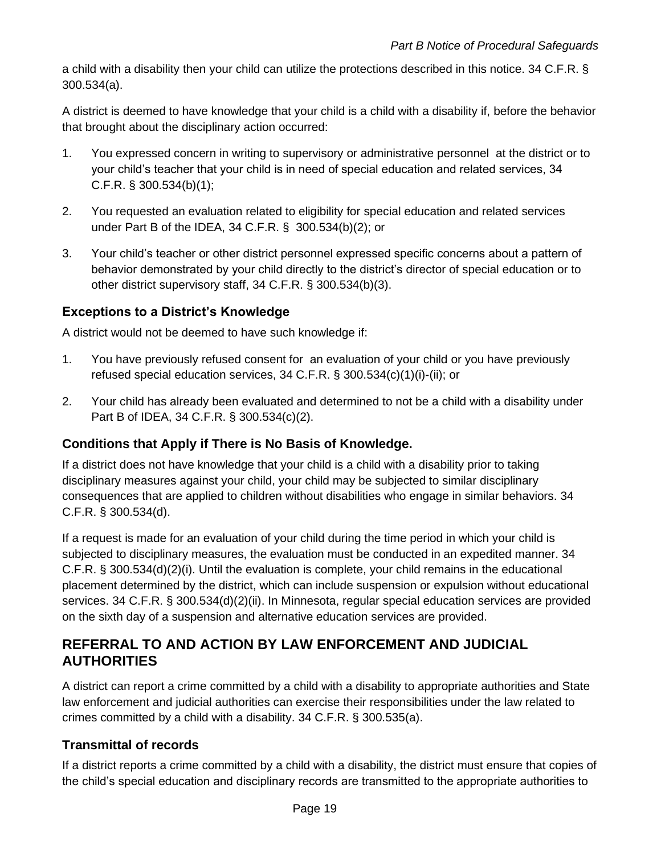a child with a disability then your child can utilize the protections described in this notice. 34 C.F.R. § 300.534(a).

A district is deemed to have knowledge that your child is a child with a disability if, before the behavior that brought about the disciplinary action occurred:

- 1. You expressed concern in writing to supervisory or administrative personnel at the district or to your child's teacher that your child is in need of special education and related services, 34 C.F.R. § 300.534(b)(1);
- 2. You requested an evaluation related to eligibility for special education and related services under Part B of the IDEA, 34 C.F.R. § 300.534(b)(2); or
- 3. Your child's teacher or other district personnel expressed specific concerns about a pattern of behavior demonstrated by your child directly to the district's director of special education or to other district supervisory staff, 34 C.F.R. § 300.534(b)(3).

### **Exceptions to a District's Knowledge**

A district would not be deemed to have such knowledge if:

- 1. You have previously refused consent for an evaluation of your child or you have previously refused special education services, 34 C.F.R. § 300.534(c)(1)(i)-(ii); or
- 2. Your child has already been evaluated and determined to not be a child with a disability under Part B of IDEA, 34 C.F.R. § 300.534(c)(2).

### **Conditions that Apply if There is No Basis of Knowledge.**

If a district does not have knowledge that your child is a child with a disability prior to taking disciplinary measures against your child, your child may be subjected to similar disciplinary consequences that are applied to children without disabilities who engage in similar behaviors. 34 C.F.R. § 300.534(d).

If a request is made for an evaluation of your child during the time period in which your child is subjected to disciplinary measures, the evaluation must be conducted in an expedited manner. 34 C.F.R. § 300.534(d)(2)(i). Until the evaluation is complete, your child remains in the educational placement determined by the district, which can include suspension or expulsion without educational services. 34 C.F.R. § 300.534(d)(2)(ii). In Minnesota, regular special education services are provided on the sixth day of a suspension and alternative education services are provided.

## **REFERRAL TO AND ACTION BY LAW ENFORCEMENT AND JUDICIAL AUTHORITIES**

A district can report a crime committed by a child with a disability to appropriate authorities and State law enforcement and judicial authorities can exercise their responsibilities under the law related to crimes committed by a child with a disability. 34 C.F.R. § 300.535(a).

### **Transmittal of records**

If a district reports a crime committed by a child with a disability, the district must ensure that copies of the child's special education and disciplinary records are transmitted to the appropriate authorities to